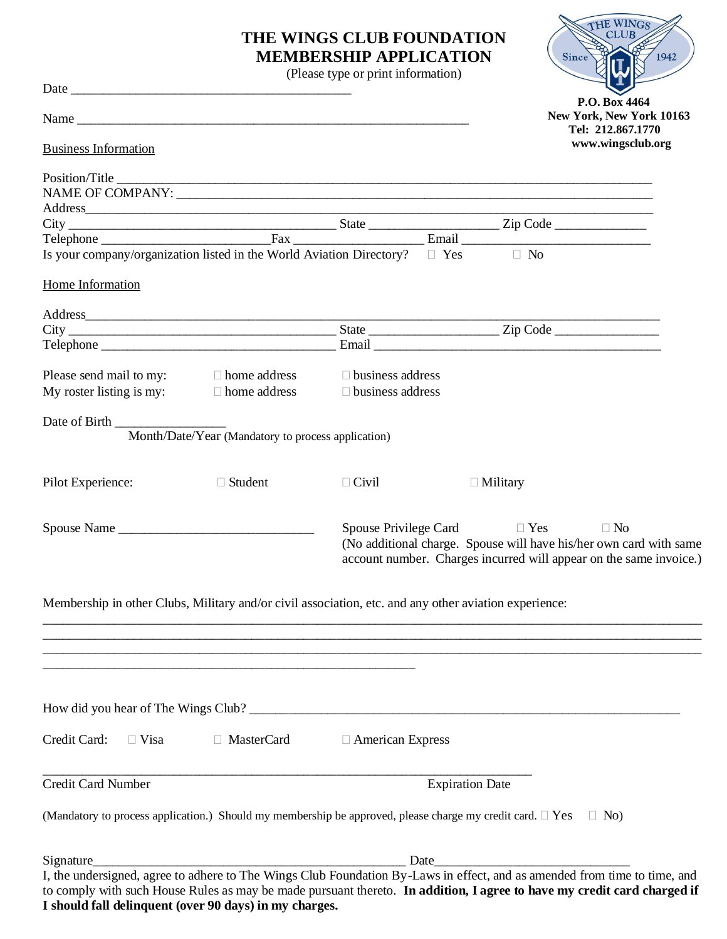## **THE WINGS CLUB FOUNDATION MEMBERSHIP APPLICATION**

THE WINGS

1942

Since

(Please type or print information)

|                                                                                                                                                                                                                                                      |                                                    | $(1 \text{ case } \text{type} \text{ or } \text{print} \text{ information})$                                          |                             | FULL                                                                                                                                                  |
|------------------------------------------------------------------------------------------------------------------------------------------------------------------------------------------------------------------------------------------------------|----------------------------------------------------|-----------------------------------------------------------------------------------------------------------------------|-----------------------------|-------------------------------------------------------------------------------------------------------------------------------------------------------|
|                                                                                                                                                                                                                                                      |                                                    |                                                                                                                       |                             | P.O. Box 4464<br>New York, New York 10163<br>Tel: 212.867.1770                                                                                        |
| <b>Business Information</b>                                                                                                                                                                                                                          |                                                    |                                                                                                                       |                             | www.wingsclub.org                                                                                                                                     |
|                                                                                                                                                                                                                                                      |                                                    |                                                                                                                       |                             |                                                                                                                                                       |
|                                                                                                                                                                                                                                                      |                                                    |                                                                                                                       |                             |                                                                                                                                                       |
|                                                                                                                                                                                                                                                      |                                                    |                                                                                                                       |                             |                                                                                                                                                       |
|                                                                                                                                                                                                                                                      |                                                    |                                                                                                                       |                             |                                                                                                                                                       |
|                                                                                                                                                                                                                                                      |                                                    |                                                                                                                       |                             |                                                                                                                                                       |
| Is your company/organization listed in the World Aviation Directory? $\square$ Yes $\square$ No                                                                                                                                                      |                                                    |                                                                                                                       |                             |                                                                                                                                                       |
| Home Information                                                                                                                                                                                                                                     |                                                    |                                                                                                                       |                             |                                                                                                                                                       |
|                                                                                                                                                                                                                                                      |                                                    |                                                                                                                       |                             |                                                                                                                                                       |
|                                                                                                                                                                                                                                                      |                                                    |                                                                                                                       |                             |                                                                                                                                                       |
|                                                                                                                                                                                                                                                      |                                                    |                                                                                                                       |                             |                                                                                                                                                       |
| Please send mail to my: $\square$ home address $\square$ business address                                                                                                                                                                            |                                                    |                                                                                                                       |                             |                                                                                                                                                       |
| My roster listing is my: $\Box$ home address                                                                                                                                                                                                         |                                                    | $\Box$ business address                                                                                               |                             |                                                                                                                                                       |
|                                                                                                                                                                                                                                                      | Month/Date/Year (Mandatory to process application) |                                                                                                                       |                             |                                                                                                                                                       |
| Pilot Experience:                                                                                                                                                                                                                                    | $\Box$ Student                                     | $\Box$ Civil                                                                                                          | $\Box$ Military             |                                                                                                                                                       |
|                                                                                                                                                                                                                                                      |                                                    |                                                                                                                       | Spouse Privilege Card □ Yes | $\Box$ No<br>(No additional charge. Spouse will have his/her own card with same<br>account number. Charges incurred will appear on the same invoice.) |
| Membership in other Clubs, Military and/or civil association, etc. and any other aviation experience:                                                                                                                                                |                                                    | <u> 1989 - Johann Stoff, deutscher Stoff, der Stoff, der Stoff, der Stoff, der Stoff, der Stoff, der Stoff, der S</u> |                             |                                                                                                                                                       |
|                                                                                                                                                                                                                                                      |                                                    |                                                                                                                       |                             |                                                                                                                                                       |
| Credit Card:<br>$\Box$ Visa                                                                                                                                                                                                                          | □ MasterCard                                       | $\Box$ American Express                                                                                               |                             |                                                                                                                                                       |
| <b>Credit Card Number</b>                                                                                                                                                                                                                            |                                                    |                                                                                                                       | <b>Expiration Date</b>      |                                                                                                                                                       |
| (Mandatory to process application.) Should my membership be approved, please charge my credit card. $\Box$ Yes                                                                                                                                       |                                                    |                                                                                                                       |                             | $\Box$ No                                                                                                                                             |
| Signature                                                                                                                                                                                                                                            |                                                    | Date_                                                                                                                 |                             |                                                                                                                                                       |
| I, the undersigned, agree to adhere to The Wings Club Foundation By-Laws in effect, and as amended from time to time, and<br>to comply with such House Rules as may be made pursuant thereto. In addition, I agree to have my credit card charged if |                                                    |                                                                                                                       |                             |                                                                                                                                                       |

## **I should fall delinquent (over 90 days) in my charges.**